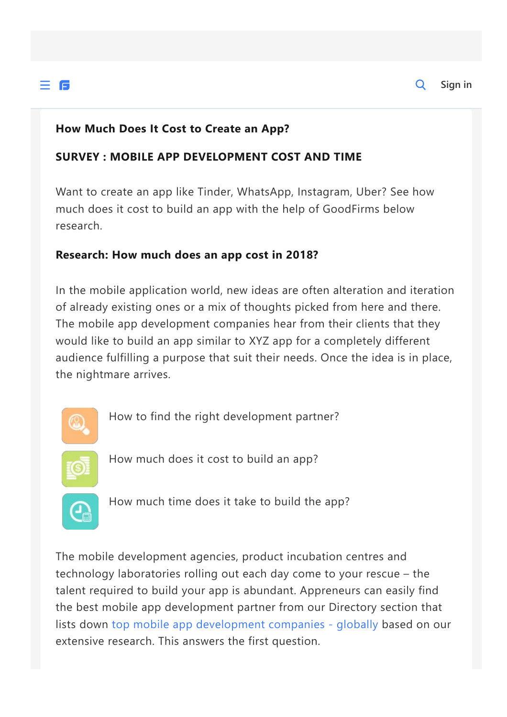

#### $\Omega$ Sign in

#### How Much Does It Cost to Create an App?

#### SURVEY : MOBILE APP DEVELOPMENT COST AND TIME

Want to create an app like Tinder, WhatsApp, Instagram, Uber? See how much does it cost to build an app with the help of GoodFirms below research.

#### Research: How much does an app cost in 2018?

In the mobile application world, new ideas are often alteration and iteration of already existing ones or a mix of thoughts picked from here and there. The mobile app development companies hear from their clients that they would like to build an app similar to XYZ app for a completely different audience fulfilling a purpose that suit their needs. Once the idea is in place, the nightmare arrives.



How to find the right development partner?



How much does it cost to build an app?



How much time does it take to build the app?

The mobile development agencies, product incubation centres and technology laboratories rolling out each day come to your rescue – the talent required to build your app is abundant. Appreneurs can easily find the best mobile app development partner from our Directory section that lists down top mobile app [development](https://www.goodfirms.co/directory/platform/app-development) companies ‐ globally based on our extensive research. This answers the first question.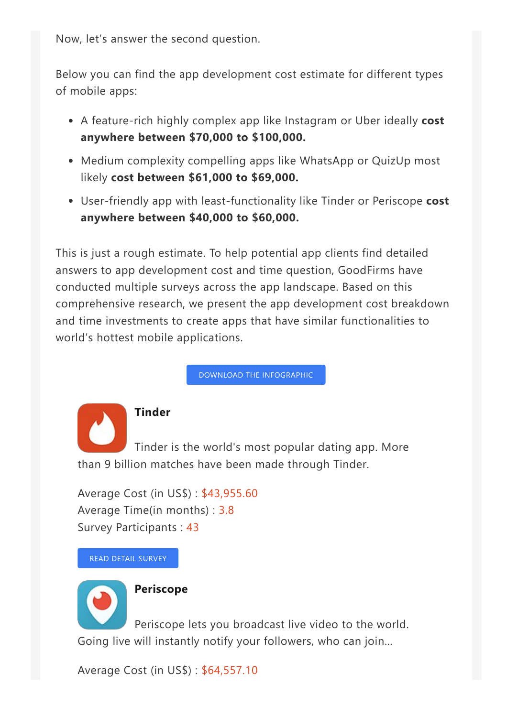Now, let's answer the second question.

Below you can find the app development cost estimate for different types of mobile apps:

- A feature-rich highly complex app like Instagram or Uber ideally cost anywhere between \$70,000 to \$100,000.
- Medium complexity compelling apps like WhatsApp or QuizUp most likely cost between \$61,000 to \$69,000.
- User-friendly app with least-functionality like Tinder or Periscope cost anywhere between \$40,000 to \$60,000.

This is just a rough estimate. To help potential app clients find detailed answers to app development cost and time question, GoodFirms have conducted multiple surveys across the app landscape. Based on this comprehensive research, we present the app development cost breakdown and time investments to create apps that have similar functionalities to world's hottest mobile applications.

DOWNLOAD THE [INFOGRAPHIC](https://www.goodfirms.co/img/Infographic_Cost-and-time.jpg)

**Tinder** 

Tinder is the world's most popular dating app. More than 9 billion matches have been made through Tinder.

Average Cost (in US\$): \$43,955.60 Average Time(in months) :  $3.8$ Survey Participants : 43

READ DETAIL [SURVEY](#page-3-0)

Periscope Periscope lets you broadcast live video to the world. Going live will instantly notify your followers, who can join...

Average Cost (in US\$): \$64,557.10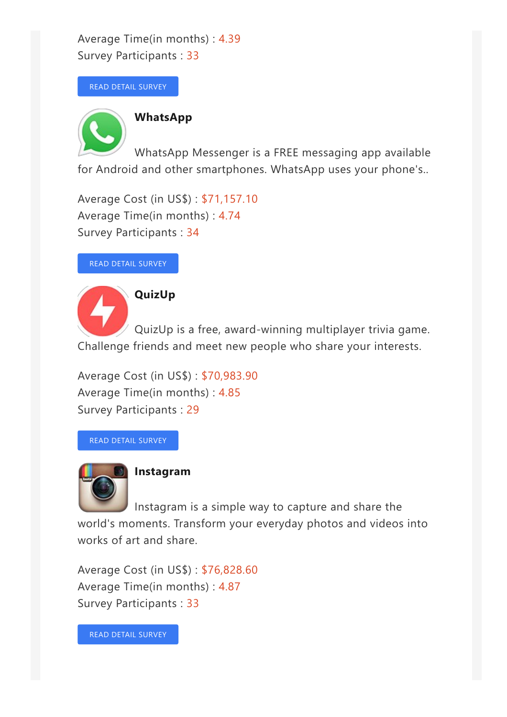Average Time(in months) :  $4.39$ Survey Participants : 33

READ DETAIL [SURVEY](#page-7-0)



#### WhatsApp

WhatsApp Messenger is a FREE messaging app available for Android and other smartphones. WhatsApp uses your phone's..

Average Cost (in US\$): \$71,157.10 Average Time(in months) :  $4.74$ Survey Participants : 34

READ DETAIL [SURVEY](#page-11-0)



QuizUp

QuizUp is a free, award‐winning multiplayer trivia game. Challenge friends and meet new people who share your interests.

Average Cost (in US\$): \$70,983.90 Average Time(in months) : 4.85 Survey Participants : 29

READ DETAIL [SURVEY](#page-14-0)



#### Instagram

Instagram is a simple way to capture and share the world's moments. Transform your everyday photos and videos into works of art and share.

Average Cost (in US\$): \$76,828.60 Average Time(in months) :  $4.87$ Survey Participants : 33

READ DETAIL [SURVEY](#page-18-0)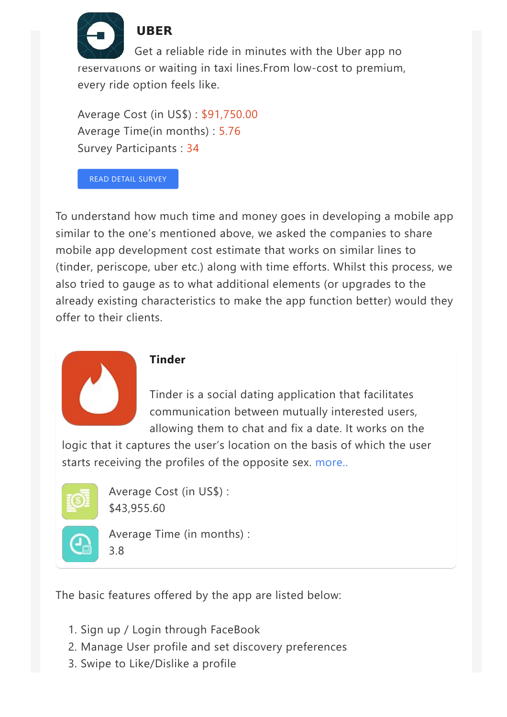**UBER**

Get a reliable ride in minutes with the Uber app no reservations or waiting in taxi lines.From low‐cost to premium, every ride option feels like.

Average Cost (in US\$): \$91,750.00 Average Time(in months) :  $5.76$ Survey Participants : 34

READ DETAIL [SURVEY](#page-21-0)

To understand how much time and money goes in developing a mobile app similar to the one's mentioned above, we asked the companies to share mobile app development cost estimate that works on similar lines to (tinder, periscope, uber etc.) along with time efforts. Whilst this process, we also tried to gauge as to what additional elements (or upgrades to the already existing characteristics to make the app function better) would they offer to their clients.

<span id="page-3-0"></span>

#### Tinder

Tinder is a social dating application that facilitates communication between mutually interested users, allowing them to chat and fix a date. It works on the

logic that it captures the user's location on the basis of which the user starts receiving the profiles of the opposite sex. more..



Average Cost (in US\$) :

\$43,955.60

Average Time (in months) : 3.8

The basic features offered by the app are listed below:

- 1. Sign up / Login through FaceBook
- 2. Manage User profile and set discovery preferences
- 3. Swipe to Like/Dislike a profile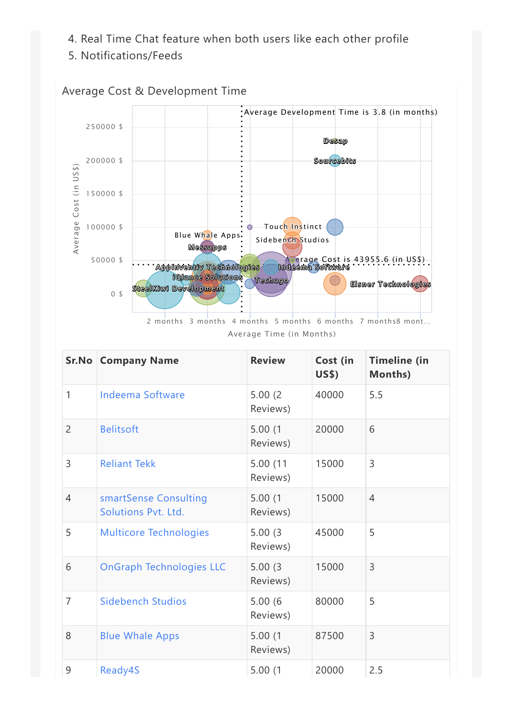- 4. Real Time Chat feature when both users like each other profile
- 5. Notifications/Feeds



Average Time (in Months)

|                | <b>Sr.No Company Name</b>                    | <b>Review</b>        | Cost (in<br><b>US\$)</b> | <b>Timeline (in</b><br><b>Months)</b> |
|----------------|----------------------------------------------|----------------------|--------------------------|---------------------------------------|
| 1              | <b>Indeema Software</b>                      | 5.00(2)<br>Reviews)  | 40000                    | 5.5                                   |
| $\overline{2}$ | <b>Belitsoft</b>                             | 5.00(1)<br>Reviews)  | 20000                    | 6                                     |
| 3              | <b>Reliant Tekk</b>                          | 5.00 (11<br>Reviews) | 15000                    | 3                                     |
| $\overline{4}$ | smartSense Consulting<br>Solutions Pvt. Ltd. | 5.00(1)<br>Reviews)  | 15000                    | $\overline{4}$                        |
| 5              | <b>Multicore Technologies</b>                | 5.00(3)<br>Reviews)  | 45000                    | 5                                     |
| 6              | <b>OnGraph Technologies LLC</b>              | 5.00(3)<br>Reviews)  | 15000                    | $\overline{3}$                        |
| $\overline{7}$ | <b>Sidebench Studios</b>                     | 5.00(6)<br>Reviews)  | 80000                    | 5                                     |
| 8              | <b>Blue Whale Apps</b>                       | 5.00(1)<br>Reviews)  | 87500                    | 3                                     |
| 9              | Ready4S                                      | 5.00(1)              | 20000                    | 2.5                                   |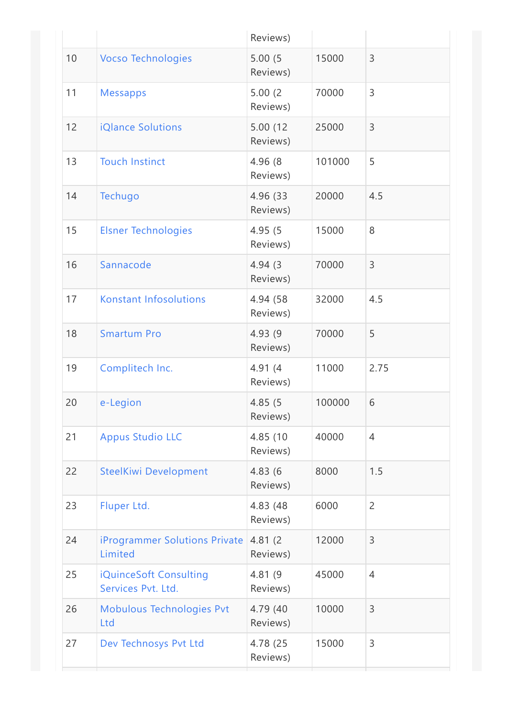|    |                                              | Reviews)              |        |                |
|----|----------------------------------------------|-----------------------|--------|----------------|
| 10 | <b>Vocso Technologies</b>                    | 5.00(5)<br>Reviews)   | 15000  | 3              |
| 11 | <b>Messapps</b>                              | 5.00(2)<br>Reviews)   | 70000  | 3              |
| 12 | <b>iQlance Solutions</b>                     | 5.00(12)<br>Reviews)  | 25000  | 3              |
| 13 | <b>Touch Instinct</b>                        | 4.96 (8<br>Reviews)   | 101000 | 5              |
| 14 | Techugo                                      | 4.96 (33<br>Reviews)  | 20000  | 4.5            |
| 15 | <b>Elsner Technologies</b>                   | 4.95 (5<br>Reviews)   | 15000  | 8              |
| 16 | Sannacode                                    | 4.94 (3<br>Reviews)   | 70000  | 3              |
| 17 | <b>Konstant Infosolutions</b>                | 4.94 (58)<br>Reviews) | 32000  | 4.5            |
| 18 | <b>Smartum Pro</b>                           | 4.93 (9<br>Reviews)   | 70000  | 5              |
| 19 | Complitech Inc.                              | 4.91 (4<br>Reviews)   | 11000  | 2.75           |
| 20 | e-Legion                                     | 4.85 (5<br>Reviews)   | 100000 | 6              |
| 21 | <b>Appus Studio LLC</b>                      | 4.85 (10)<br>Reviews) | 40000  | 4              |
| 22 | <b>SteelKiwi Development</b>                 | 4.83 (6<br>Reviews)   | 8000   | 1.5            |
| 23 | Fluper Ltd.                                  | 4.83 (48)<br>Reviews) | 6000   | $\overline{2}$ |
| 24 | iProgrammer Solutions Private<br>Limited     | 4.81(2)<br>Reviews)   | 12000  | 3              |
| 25 | iQuinceSoft Consulting<br>Services Pvt. Ltd. | 4.81 (9<br>Reviews)   | 45000  | $\overline{4}$ |
| 26 | Mobulous Technologies Pvt<br>Ltd             | 4.79 (40)<br>Reviews) | 10000  | 3              |
| 27 | Dev Technosys Pvt Ltd                        | 4.78 (25)<br>Reviews) | 15000  | 3              |
|    |                                              |                       |        |                |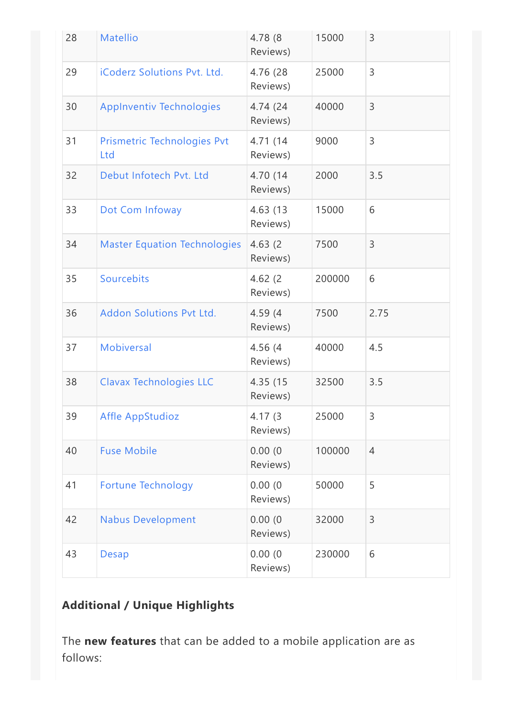| 28 | <b>Matellio</b>                     | 4.78 (8<br>Reviews)   | 15000  | 3              |
|----|-------------------------------------|-----------------------|--------|----------------|
| 29 | iCoderz Solutions Pvt. Ltd.         | 4.76 (28)<br>Reviews) | 25000  | 3              |
| 30 | <b>AppInventiv Technologies</b>     | 4.74 (24)<br>Reviews) | 40000  | 3              |
| 31 | Prismetric Technologies Pvt<br>Ltd  | 4.71 (14)<br>Reviews) | 9000   | 3              |
| 32 | Debut Infotech Pvt. Ltd             | 4.70 (14)<br>Reviews) | 2000   | 3.5            |
| 33 | Dot Com Infoway                     | 4.63 (13<br>Reviews)  | 15000  | 6              |
| 34 | <b>Master Equation Technologies</b> | 4.63(2)<br>Reviews)   | 7500   | $\overline{3}$ |
| 35 | Sourcebits                          | 4.62(2)<br>Reviews)   | 200000 | 6              |
| 36 | Addon Solutions Pvt Ltd.            | 4.59 (4<br>Reviews)   | 7500   | 2.75           |
| 37 | <b>Mobiversal</b>                   | 4.56 (4<br>Reviews)   | 40000  | 4.5            |
| 38 | <b>Clavax Technologies LLC</b>      | 4.35 (15<br>Reviews)  | 32500  | 3.5            |
| 39 | <b>Affle AppStudioz</b>             | 4.17(3)<br>Reviews)   | 25000  | 3              |
| 40 | <b>Fuse Mobile</b>                  | 0.00(0)<br>Reviews)   | 100000 | $\overline{4}$ |
| 41 | <b>Fortune Technology</b>           | 0.00(0)<br>Reviews)   | 50000  | 5              |
| 42 | <b>Nabus Development</b>            | 0.00(0)<br>Reviews)   | 32000  | 3              |
| 43 | <b>Desap</b>                        | 0.00(0)<br>Reviews)   | 230000 | 6              |

The new features that can be added to a mobile application are as follows: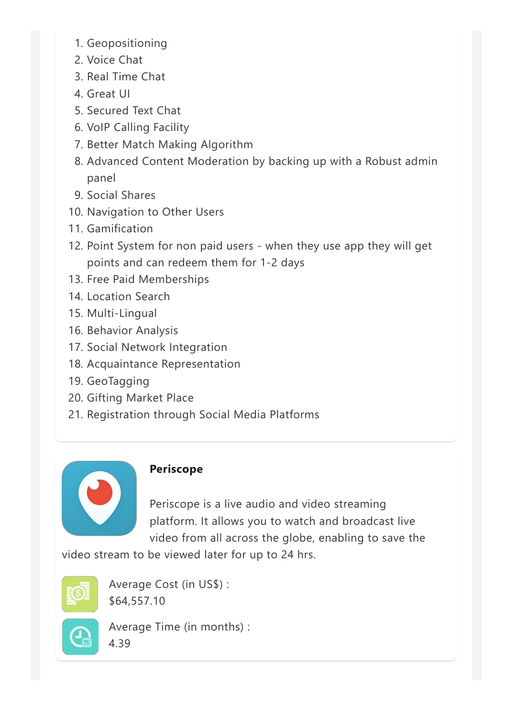- 1. Geopositioning
- 2. Voice Chat
- 3. Real Time Chat
- 4. Great UI
- 5. Secured Text Chat
- 6. VoIP Calling Facility
- 7. Better Match Making Algorithm
- 8. Advanced Content Moderation by backing up with a Robust admin panel
- 9. Social Shares
- 10. Navigation to Other Users
- 11. Gamification
- 12. Point System for non paid users when they use app they will get points and can redeem them for 1‐2 days
- 13. Free Paid Memberships
- 14. Location Search
- 15. Multi‐Lingual
- 16. Behavior Analysis
- 17. Social Network Integration
- 18. Acquaintance Representation
- 19. GeoTagging
- 20. Gifting Market Place
- 21. Registration through Social Media Platforms

<span id="page-7-0"></span>

### Periscope

Periscope is a live audio and video streaming platform. It allows you to watch and broadcast live video from all across the globe, enabling to save the

video stream to be viewed later for up to 24 hrs.



Average Cost (in US\$) : \$64,557.10

Average Time (in months) : 4.39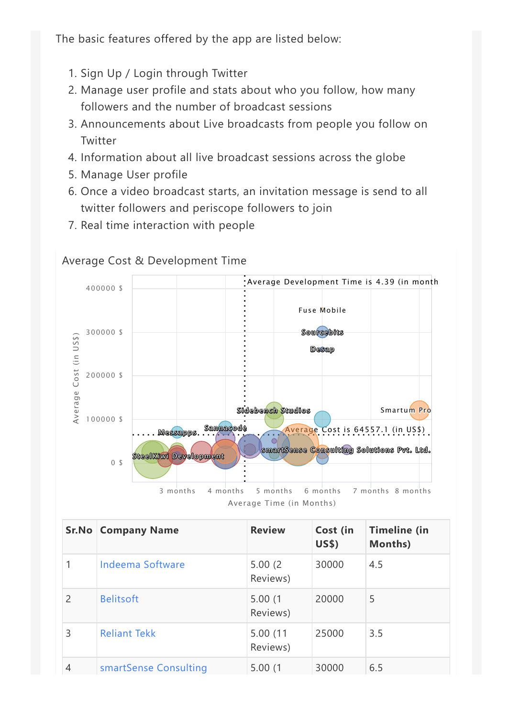The basic features offered by the app are listed below:

- 1. Sign Up / Login through Twitter
- 2. Manage user profile and stats about who you follow, how many followers and the number of broadcast sessions
- 3. Announcements about Live broadcasts from people you follow on Twitter
- 4. Information about all live broadcast sessions across the globe
- 5. Manage User profile
- 6. Once a video broadcast starts, an invitation message is send to all twitter followers and periscope followers to join
- 7. Real time interaction with people



|  |  |  |  | Average Cost & Development Time |  |
|--|--|--|--|---------------------------------|--|
|--|--|--|--|---------------------------------|--|

|               | <b>Sr.No   Company Name</b> | <b>Review</b>        | Cost (in<br><b>US\$)</b> | <b>Timeline (in</b><br><b>Months)</b> |
|---------------|-----------------------------|----------------------|--------------------------|---------------------------------------|
|               | <b>Indeema Software</b>     | 5.00(2)<br>Reviews)  | 30000                    | 4.5                                   |
| $\mathcal{P}$ | <b>Belitsoft</b>            | 5.00(1)<br>Reviews)  | 20000                    | 5                                     |
| 3             | <b>Reliant Tekk</b>         | 5.00 (11<br>Reviews) | 25000                    | 3.5                                   |
| 4             | smartSense Consulting       | 5.00(1)              | 30000                    | 6.5                                   |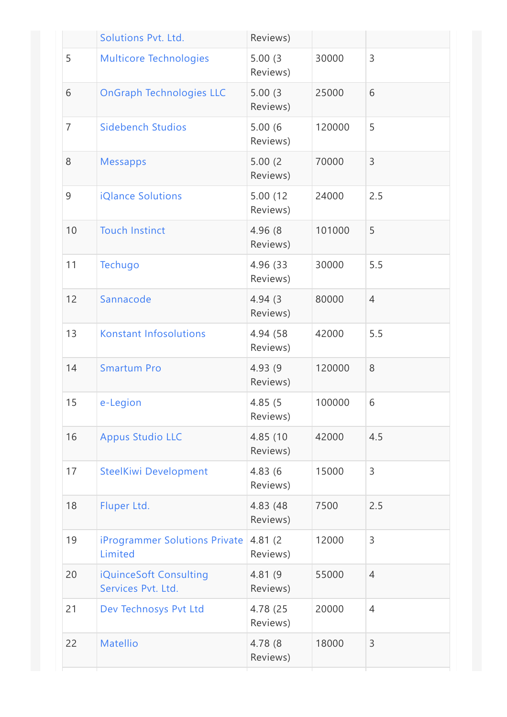|                | Solutions Pvt. Ltd.                          | Reviews)              |        |                |
|----------------|----------------------------------------------|-----------------------|--------|----------------|
| 5              | <b>Multicore Technologies</b>                | 5.00(3)<br>Reviews)   | 30000  | 3              |
| 6              | <b>OnGraph Technologies LLC</b>              | 5.00(3)<br>Reviews)   | 25000  | 6              |
| $\overline{7}$ | <b>Sidebench Studios</b>                     | 5.00(6)<br>Reviews)   | 120000 | 5              |
| 8              | <b>Messapps</b>                              | 5.00(2)<br>Reviews)   | 70000  | 3              |
| 9              | <b>iQlance Solutions</b>                     | 5.00(12)<br>Reviews)  | 24000  | 2.5            |
| 10             | <b>Touch Instinct</b>                        | 4.96 (8<br>Reviews)   | 101000 | 5              |
| 11             | <b>Techugo</b>                               | 4.96 (33<br>Reviews)  | 30000  | 5.5            |
| 12             | Sannacode                                    | 4.94 (3<br>Reviews)   | 80000  | $\overline{4}$ |
| 13             | <b>Konstant Infosolutions</b>                | 4.94 (58<br>Reviews)  | 42000  | 5.5            |
| 14             | <b>Smartum Pro</b>                           | 4.93 (9<br>Reviews)   | 120000 | 8              |
| 15             | e-Legion                                     | 4.85 (5<br>Reviews)   | 100000 | 6              |
| 16             | <b>Appus Studio LLC</b>                      | 4.85 (10)<br>Reviews) | 42000  | 4.5            |
| 17             | <b>SteelKiwi Development</b>                 | 4.83 (6<br>Reviews)   | 15000  | 3              |
| 18             | Fluper Ltd.                                  | 4.83 (48<br>Reviews)  | 7500   | 2.5            |
| 19             | iProgrammer Solutions Private<br>Limited     | 4.81(2)<br>Reviews)   | 12000  | $\overline{3}$ |
| 20             | iQuinceSoft Consulting<br>Services Pvt. Ltd. | 4.81 (9<br>Reviews)   | 55000  | $\overline{4}$ |
| 21             | Dev Technosys Pvt Ltd                        | 4.78 (25<br>Reviews)  | 20000  | $\overline{4}$ |
| 22             | <b>Matellio</b>                              | 4.78 (8)<br>Reviews)  | 18000  | 3              |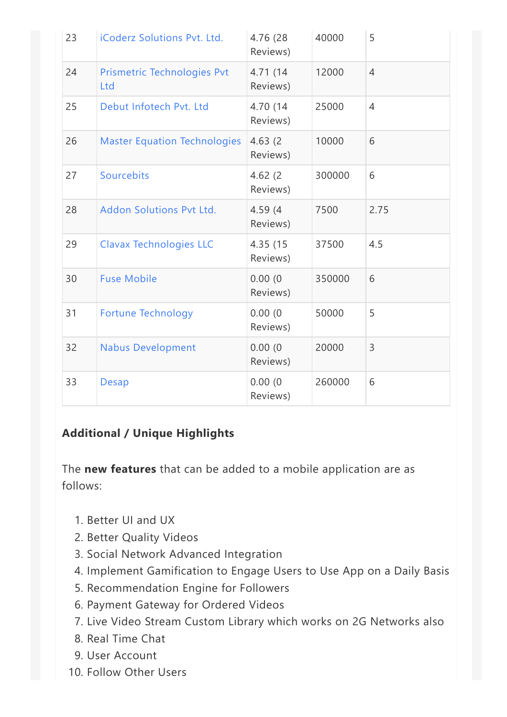| 23 | iCoderz Solutions Pvt. Ltd.         | 4.76 (28<br>Reviews) | 40000  | 5              |
|----|-------------------------------------|----------------------|--------|----------------|
| 24 | Prismetric Technologies Pvt<br>Ltd  | 4.71 (14<br>Reviews) | 12000  | $\overline{4}$ |
| 25 | Debut Infotech Pvt. Ltd             | 4.70 (14<br>Reviews) | 25000  | $\overline{4}$ |
| 26 | <b>Master Equation Technologies</b> | 4.63(2)<br>Reviews)  | 10000  | 6              |
| 27 | <b>Sourcebits</b>                   | 4.62(2)<br>Reviews)  | 300000 | 6              |
| 28 | <b>Addon Solutions Pyt Ltd.</b>     | 4.59 (4<br>Reviews)  | 7500   | 2.75           |
| 29 | <b>Clavax Technologies LLC</b>      | 4.35 (15<br>Reviews) | 37500  | 4.5            |
| 30 | <b>Fuse Mobile</b>                  | 0.00(0)<br>Reviews)  | 350000 | 6              |
| 31 | <b>Fortune Technology</b>           | 0.00(0)<br>Reviews)  | 50000  | 5              |
| 32 | <b>Nabus Development</b>            | 0.00(0)<br>Reviews)  | 20000  | $\overline{3}$ |
| 33 | <b>Desap</b>                        | 0.00(0)<br>Reviews)  | 260000 | 6              |

The new features that can be added to a mobile application are as follows:

- 1. Better UI and UX
- 2. Better Quality Videos
- 3. Social Network Advanced Integration
- 4. Implement Gamification to Engage Users to Use App on a Daily Basis
- 5. Recommendation Engine for Followers
- 6. Payment Gateway for Ordered Videos
- 7. Live Video Stream Custom Library which works on 2G Networks also
- 8. Real Time Chat
- 9. User Account
- 10. Follow Other Users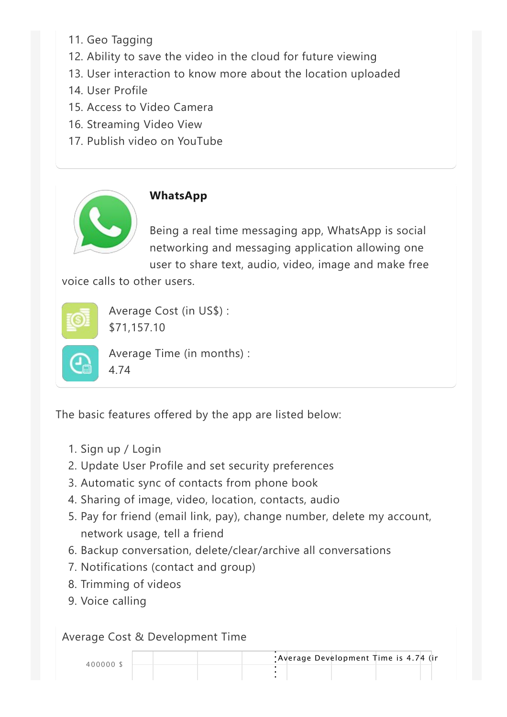- 11. Geo Tagging
- 12. Ability to save the video in the cloud for future viewing
- 13. User interaction to know more about the location uploaded
- 14. User Profile
- 15. Access to Video Camera
- 16. Streaming Video View
- 17. Publish video on YouTube

<span id="page-11-0"></span>

#### WhatsApp

Being a real time messaging app, WhatsApp is social networking and messaging application allowing one user to share text, audio, video, image and make free

voice calls to other users.



Average Cost (in US\$) : \$71,157.10

Average Time (in months) :

The basic features offered by the app are listed below:

1. Sign up / Login

4.74

- 2. Update User Profile and set security preferences
- 3. Automatic sync of contacts from phone book
- 4. Sharing of image, video, location, contacts, audio
- 5. Pay for friend (email link, pay), change number, delete my account, network usage, tell a friend
- 6. Backup conversation, delete/clear/archive all conversations
- 7. Notifications (contact and group)
- 8. Trimming of videos
- 9. Voice calling

|           | Average Development Time is 4.74 (in |
|-----------|--------------------------------------|
| 400000 \$ |                                      |
|           |                                      |
|           |                                      |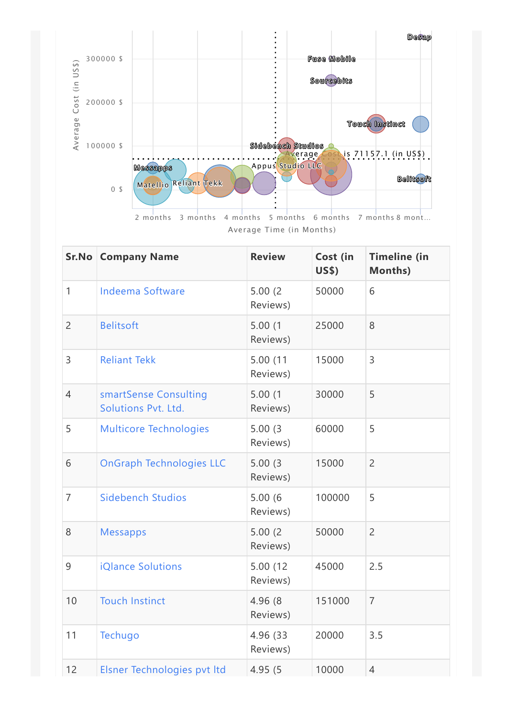

Average Time (in Months)

|                | <b>Sr.No Company Name</b>                    | <b>Review</b>        | Cost (in<br><b>US\$)</b> | <b>Timeline (in</b><br><b>Months)</b> |
|----------------|----------------------------------------------|----------------------|--------------------------|---------------------------------------|
| $\mathbf{1}$   | <b>Indeema Software</b>                      | 5.00(2)<br>Reviews)  | 50000                    | 6                                     |
| $\overline{2}$ | <b>Belitsoft</b>                             | 5.00(1)<br>Reviews)  | 25000                    | 8                                     |
| 3              | <b>Reliant Tekk</b>                          | 5.00 (11<br>Reviews) | 15000                    | 3                                     |
| $\overline{4}$ | smartSense Consulting<br>Solutions Pvt. Ltd. | 5.00(1)<br>Reviews)  | 30000                    | 5                                     |
| 5              | <b>Multicore Technologies</b>                | 5.00(3)<br>Reviews)  | 60000                    | 5                                     |
| 6              | <b>OnGraph Technologies LLC</b>              | 5.00(3)<br>Reviews)  | 15000                    | $\overline{2}$                        |
| $\overline{7}$ | <b>Sidebench Studios</b>                     | 5.00(6)<br>Reviews)  | 100000                   | 5                                     |
| 8              | <b>Messapps</b>                              | 5.00(2)<br>Reviews)  | 50000                    | $\overline{2}$                        |
| 9              | <b>iQlance Solutions</b>                     | 5.00 (12<br>Reviews) | 45000                    | 2.5                                   |
| 10             | <b>Touch Instinct</b>                        | 4.96 (8<br>Reviews)  | 151000                   | $\overline{7}$                        |
| 11             | Techugo                                      | 4.96 (33<br>Reviews) | 20000                    | 3.5                                   |
| 12             | Elsner Technologies pvt Itd                  | 4.95 (5              | 10000                    | $\overline{4}$                        |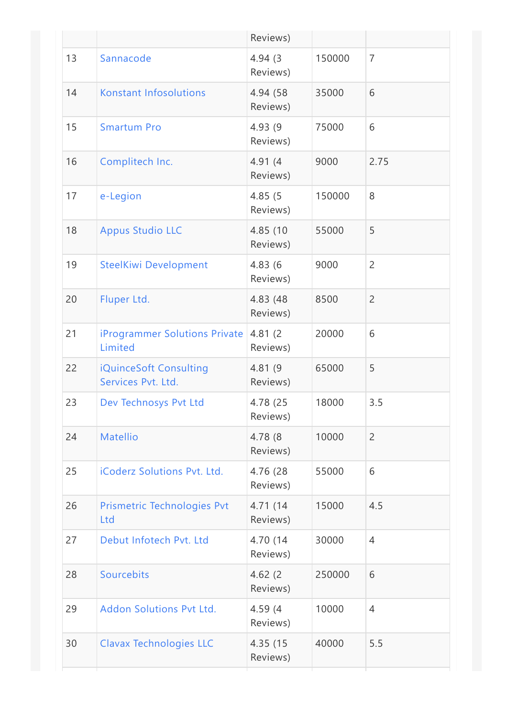|    |                                                 | Reviews)              |        |                |
|----|-------------------------------------------------|-----------------------|--------|----------------|
| 13 | Sannacode                                       | 4.94 (3<br>Reviews)   | 150000 | 7              |
| 14 | <b>Konstant Infosolutions</b>                   | 4.94 (58)<br>Reviews) | 35000  | 6              |
| 15 | <b>Smartum Pro</b>                              | 4.93 (9<br>Reviews)   | 75000  | 6              |
| 16 | Complitech Inc.                                 | 4.91 (4<br>Reviews)   | 9000   | 2.75           |
| 17 | e-Legion                                        | 4.85 (5<br>Reviews)   | 150000 | 8              |
| 18 | <b>Appus Studio LLC</b>                         | 4.85 (10)<br>Reviews) | 55000  | 5              |
| 19 | <b>SteelKiwi Development</b>                    | 4.83 (6<br>Reviews)   | 9000   | $\overline{2}$ |
| 20 | Fluper Ltd.                                     | 4.83 (48)<br>Reviews) | 8500   | $\overline{2}$ |
| 21 | <b>iProgrammer Solutions Private</b><br>Limited | 4.81(2)<br>Reviews)   | 20000  | 6              |
| 22 | iQuinceSoft Consulting<br>Services Pvt. Ltd.    | 4.81 (9<br>Reviews)   | 65000  | 5              |
| 23 | Dev Technosys Pvt Ltd                           | 4.78 (25<br>Reviews)  | 18000  | 3.5            |
| 24 | <b>Matellio</b>                                 | 4.78 (8)<br>Reviews)  | 10000  | $\overline{2}$ |
| 25 | iCoderz Solutions Pvt. Ltd.                     | 4.76 (28)<br>Reviews) | 55000  | 6              |
| 26 | Prismetric Technologies Pvt<br>Ltd              | 4.71 (14)<br>Reviews) | 15000  | 4.5            |
| 27 | Debut Infotech Pvt. Ltd                         | 4.70 (14<br>Reviews)  | 30000  | $\overline{4}$ |
| 28 | Sourcebits                                      | 4.62(2)<br>Reviews)   | 250000 | 6              |
| 29 | <b>Addon Solutions Pvt Ltd.</b>                 | 4.59 (4<br>Reviews)   | 10000  | $\overline{4}$ |
| 30 | <b>Clavax Technologies LLC</b>                  | 4.35 (15<br>Reviews)  | 40000  | 5.5            |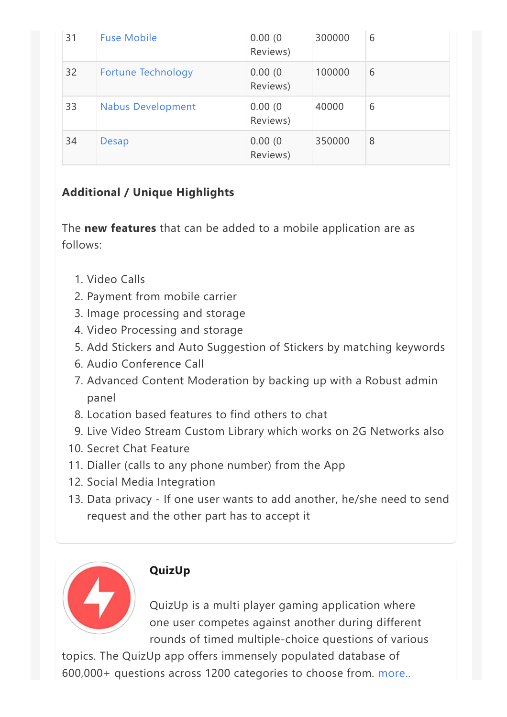| 31 | <b>Fuse Mobile</b>        | 0.00(0)<br>Reviews) | 300000 | 6 |
|----|---------------------------|---------------------|--------|---|
| 32 | <b>Fortune Technology</b> | 0.00(0)<br>Reviews) | 100000 | 6 |
| 33 | <b>Nabus Development</b>  | 0.00(0)<br>Reviews) | 40000  | 6 |
| 34 | Desap                     | 0.00(0)<br>Reviews) | 350000 | 8 |

The new features that can be added to a mobile application are as follows:

- 1. Video Calls
- 2. Payment from mobile carrier
- 3. Image processing and storage
- 4. Video Processing and storage
- 5. Add Stickers and Auto Suggestion of Stickers by matching keywords
- 6. Audio Conference Call
- 7. Advanced Content Moderation by backing up with a Robust admin panel
- 8. Location based features to find others to chat
- 9. Live Video Stream Custom Library which works on 2G Networks also
- 10. Secret Chat Feature
- 11. Dialler (calls to any phone number) from the App
- 12. Social Media Integration
- 13. Data privacy ‐ If one user wants to add another, he/she need to send request and the other part has to accept it

<span id="page-14-0"></span>

# QuizUp

QuizUp is a multi player gaming application where one user competes against another during different rounds of timed multiple‐choice questions of various

topics. The QuizUp app offers immensely populated database of 600,000+ questions across 1200 categories to choose from. more..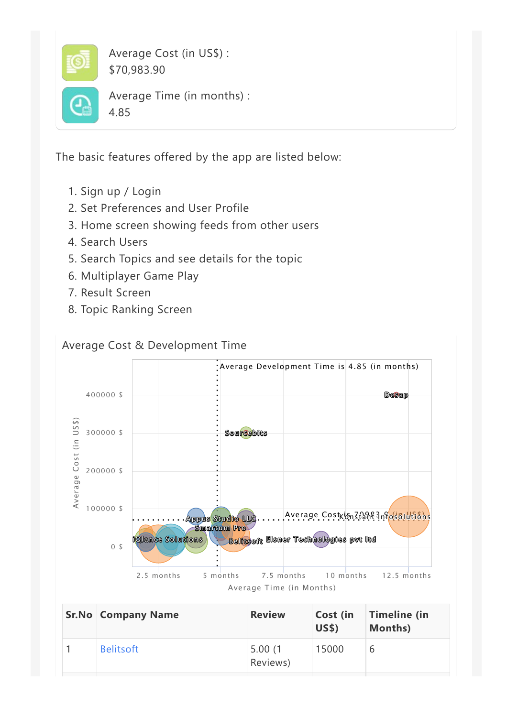

Average Cost (in US\$) : \$70,983.90

Average Time (in months) : 4.85

The basic features offered by the app are listed below:

- 1. Sign up / Login
- 2. Set Preferences and User Profile
- 3. Home screen showing feeds from other users
- 4. Search Users
- 5. Search Topics and see details for the topic
- 6. Multiplayer Game Play
- 7. Result Screen
- 8. Topic Ranking Screen



Sr.No Company Name Review Cost (in US\$) **Timeline (in Months**) 1 [Belitsoft](https://www.goodfirms.co/company/belitsoft) 5.00 (1 Reviews) 15000 6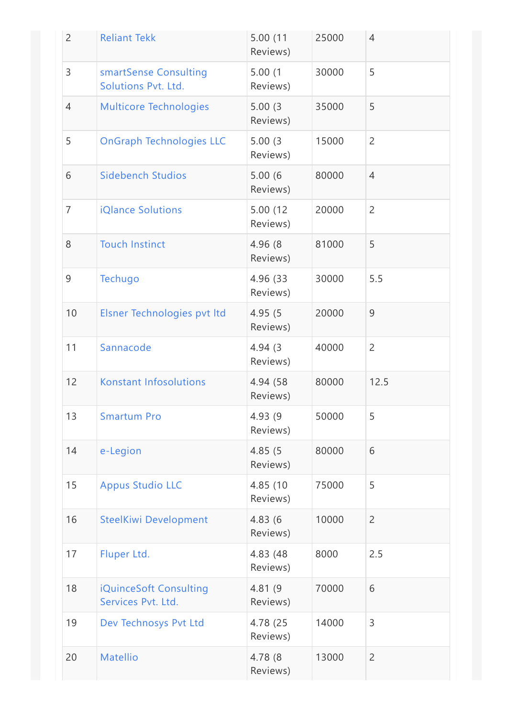| $\overline{2}$ | <b>Reliant Tekk</b>                          | 5.00 (11<br>Reviews)  | 25000 | $\overline{4}$ |
|----------------|----------------------------------------------|-----------------------|-------|----------------|
| 3              | smartSense Consulting<br>Solutions Pvt. Ltd. | 5.00(1)<br>Reviews)   | 30000 | 5              |
| $\overline{4}$ | <b>Multicore Technologies</b>                | 5.00(3)<br>Reviews)   | 35000 | 5              |
| 5              | <b>OnGraph Technologies LLC</b>              | 5.00(3)<br>Reviews)   | 15000 | $\overline{2}$ |
| 6              | <b>Sidebench Studios</b>                     | 5.00(6)<br>Reviews)   | 80000 | $\overline{4}$ |
| 7              | <b>iQlance Solutions</b>                     | 5.00 (12)<br>Reviews) | 20000 | $\overline{2}$ |
| 8              | <b>Touch Instinct</b>                        | 4.96 (8<br>Reviews)   | 81000 | 5              |
| 9              | <b>Techugo</b>                               | 4.96 (33<br>Reviews)  | 30000 | 5.5            |
| 10             | Elsner Technologies pvt Itd                  | 4.95 (5<br>Reviews)   | 20000 | 9              |
| 11             | Sannacode                                    | 4.94 (3<br>Reviews)   | 40000 | $\overline{2}$ |
| 12             | <b>Konstant Infosolutions</b>                | 4.94 (58)<br>Reviews) | 80000 | 12.5           |
| 13             | <b>Smartum Pro</b>                           | 4.93 (9<br>Reviews)   | 50000 | 5              |
| 14             | e-Legion                                     | 4.85 (5<br>Reviews)   | 80000 | 6              |
| 15             | <b>Appus Studio LLC</b>                      | 4.85 (10)<br>Reviews) | 75000 | 5              |
| 16             | <b>SteelKiwi Development</b>                 | 4.83 (6<br>Reviews)   | 10000 | $\overline{2}$ |
| 17             | Fluper Ltd.                                  | 4.83 (48)<br>Reviews) | 8000  | 2.5            |
| 18             | iQuinceSoft Consulting<br>Services Pvt. Ltd. | 4.81 (9<br>Reviews)   | 70000 | 6              |
| 19             | Dev Technosys Pvt Ltd                        | 4.78 (25<br>Reviews)  | 14000 | 3              |
| 20             | <b>Matellio</b>                              | 4.78 (8<br>Reviews)   | 13000 | $\overline{2}$ |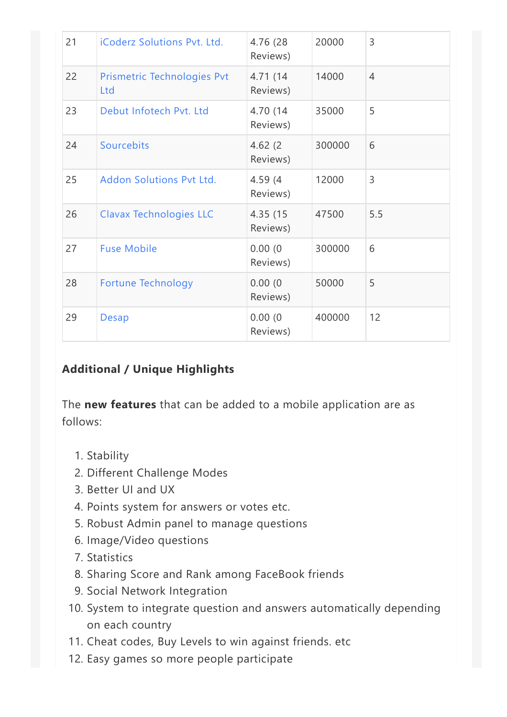| 21 | iCoderz Solutions Pvt. Ltd.        | 4.76 (28)<br>Reviews) | 20000  | 3              |
|----|------------------------------------|-----------------------|--------|----------------|
| 22 | Prismetric Technologies Pvt<br>Ltd | 4.71 (14)<br>Reviews) | 14000  | $\overline{4}$ |
| 23 | Debut Infotech Pvt. Ltd            | 4.70 (14<br>Reviews)  | 35000  | 5              |
| 24 | Sourcebits                         | 4.62(2)<br>Reviews)   | 300000 | 6              |
| 25 | <b>Addon Solutions Pyt Ltd.</b>    | 4.59 (4)<br>Reviews)  | 12000  | 3              |
| 26 | <b>Clavax Technologies LLC</b>     | 4.35 (15<br>Reviews)  | 47500  | 5.5            |
| 27 | <b>Fuse Mobile</b>                 | 0.00(0)<br>Reviews)   | 300000 | 6              |
| 28 | <b>Fortune Technology</b>          | 0.00(0)<br>Reviews)   | 50000  | 5              |
| 29 | <b>Desap</b>                       | 0.00(0)<br>Reviews)   | 400000 | 12             |

The new features that can be added to a mobile application are as follows:

- 1. Stability
- 2. Different Challenge Modes
- 3. Better UI and UX
- 4. Points system for answers or votes etc.
- 5. Robust Admin panel to manage questions
- 6. Image/Video questions
- 7. Statistics
- 8. Sharing Score and Rank among FaceBook friends
- 9. Social Network Integration
- 10. System to integrate question and answers automatically depending on each country
- 11. Cheat codes, Buy Levels to win against friends. etc
- 12. Easy games so more people participate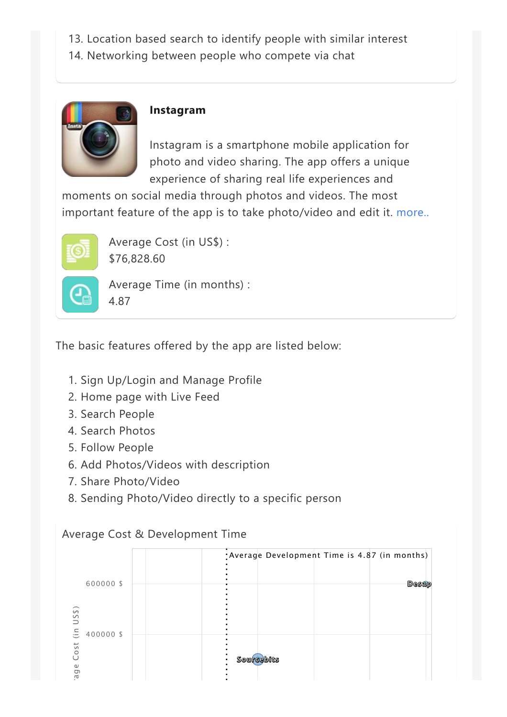- 13. Location based search to identify people with similar interest
- 14. Networking between people who compete via chat

<span id="page-18-0"></span>

#### Instagram

Instagram is a smartphone mobile application for photo and video sharing. The app offers a unique experience of sharing real life experiences and

moments on social media through photos and videos. The most important feature of the app is to take photo/video and edit it. more..



Average Cost (in US\$) : \$76,828.60



Average Time (in months) : 4.87

The basic features offered by the app are listed below:

- 1. Sign Up/Login and Manage Profile
- 2. Home page with Live Feed
- 3. Search People
- 4. Search Photos
- 5. Follow People
- 6. Add Photos/Videos with description
- 7. Share Photo/Video
- 8. Sending Photo/Video directly to a specific person

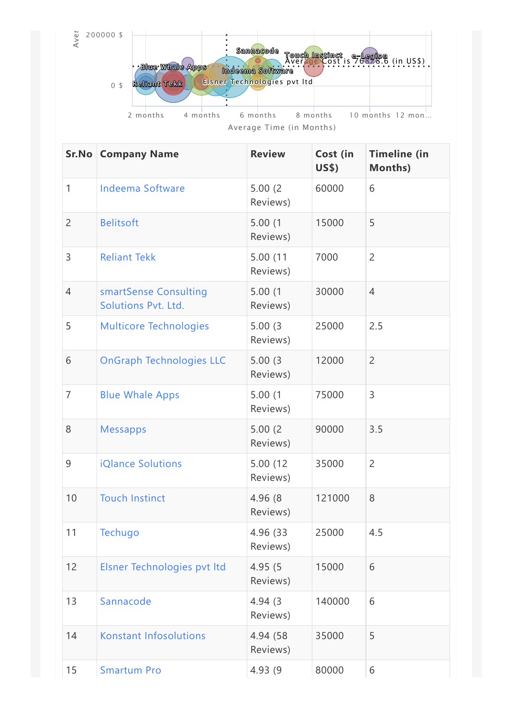

Average Time (in Months)

|                | <b>Sr.No Company Name</b>                    | <b>Review</b>         | Cost (in<br><b>US\$)</b> | <b>Timeline (in</b><br><b>Months)</b> |
|----------------|----------------------------------------------|-----------------------|--------------------------|---------------------------------------|
| 1              | <b>Indeema Software</b>                      | 5.00(2)<br>Reviews)   | 60000                    | 6                                     |
| $\overline{2}$ | <b>Belitsoft</b>                             | 5.00(1)<br>Reviews)   | 15000                    | 5                                     |
| 3              | <b>Reliant Tekk</b>                          | 5.00 (11<br>Reviews)  | 7000                     | $\overline{2}$                        |
| $\overline{4}$ | smartSense Consulting<br>Solutions Pvt. Ltd. | 5.00(1)<br>Reviews)   | 30000                    | $\overline{4}$                        |
| 5              | <b>Multicore Technologies</b>                | 5.00(3)<br>Reviews)   | 25000                    | 2.5                                   |
| 6              | <b>OnGraph Technologies LLC</b>              | 5.00(3)<br>Reviews)   | 12000                    | $\overline{2}$                        |
| $\overline{7}$ | <b>Blue Whale Apps</b>                       | 5.00(1)<br>Reviews)   | 75000                    | 3                                     |
| 8              | <b>Messapps</b>                              | 5.00(2)<br>Reviews)   | 90000                    | 3.5                                   |
| 9              | <b>iQlance Solutions</b>                     | 5.00 (12)<br>Reviews) | 35000                    | $\overline{2}$                        |
| 10             | <b>Touch Instinct</b>                        | 4.96 (8<br>Reviews)   | 121000                   | 8                                     |
| 11             | <b>Techugo</b>                               | 4.96 (33<br>Reviews)  | 25000                    | 4.5                                   |
| 12             | Elsner Technologies pvt Itd                  | 4.95 (5<br>Reviews)   | 15000                    | 6                                     |
| 13             | Sannacode                                    | 4.94 (3<br>Reviews)   | 140000                   | 6                                     |
| 14             | <b>Konstant Infosolutions</b>                | 4.94 (58<br>Reviews)  | 35000                    | 5                                     |
| 15             | <b>Smartum Pro</b>                           | 4.93 (9               | 80000                    | 6                                     |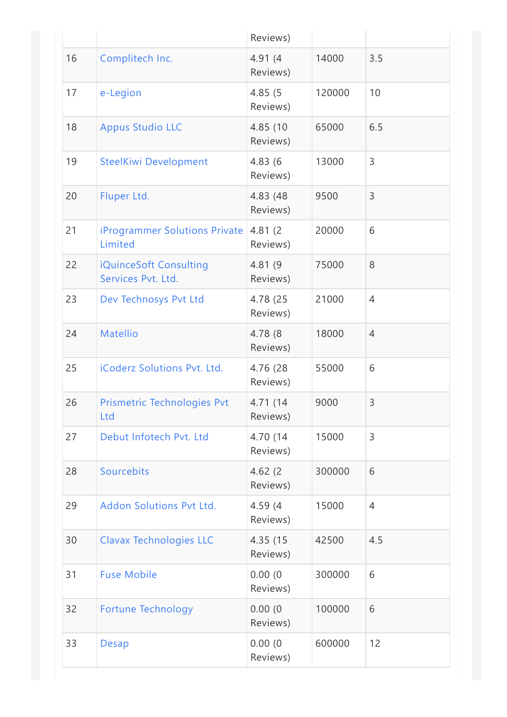|    |                                              | Reviews)              |        |                |
|----|----------------------------------------------|-----------------------|--------|----------------|
| 16 | Complitech Inc.                              | 4.91 (4<br>Reviews)   | 14000  | 3.5            |
| 17 | e-Legion                                     | 4.85 (5<br>Reviews)   | 120000 | 10             |
| 18 | <b>Appus Studio LLC</b>                      | 4.85 (10)<br>Reviews) | 65000  | 6.5            |
| 19 | <b>SteelKiwi Development</b>                 | 4.83 (6<br>Reviews)   | 13000  | 3              |
| 20 | Fluper Ltd.                                  | 4.83 (48<br>Reviews)  | 9500   | 3              |
| 21 | iProgrammer Solutions Private<br>Limited     | 4.81(2)<br>Reviews)   | 20000  | 6              |
| 22 | iQuinceSoft Consulting<br>Services Pvt. Ltd. | 4.81 (9<br>Reviews)   | 75000  | 8              |
| 23 | Dev Technosys Pvt Ltd                        | 4.78 (25)<br>Reviews) | 21000  | $\overline{4}$ |
| 24 | <b>Matellio</b>                              | 4.78 (8)<br>Reviews)  | 18000  | $\overline{4}$ |
| 25 | iCoderz Solutions Pvt. Ltd.                  | 4.76 (28)<br>Reviews) | 55000  | 6              |
| 26 | Prismetric Technologies Pvt<br>Ltd           | 4.71 (14<br>Reviews)  | 9000   | 3              |
| 27 | Debut Infotech Pvt. Ltd                      | 4.70 (14<br>Reviews)  | 15000  | 3              |
| 28 | Sourcebits                                   | 4.62(2)<br>Reviews)   | 300000 | 6              |
| 29 | <b>Addon Solutions Pvt Ltd.</b>              | 4.59 (4<br>Reviews)   | 15000  | $\overline{4}$ |
| 30 | <b>Clavax Technologies LLC</b>               | 4.35 (15<br>Reviews)  | 42500  | 4.5            |
| 31 | <b>Fuse Mobile</b>                           | 0.00(0)<br>Reviews)   | 300000 | 6              |
| 32 | <b>Fortune Technology</b>                    | 0.00(0)<br>Reviews)   | 100000 | 6              |
| 33 | <b>Desap</b>                                 | 0.00(0)<br>Reviews)   | 600000 | 12             |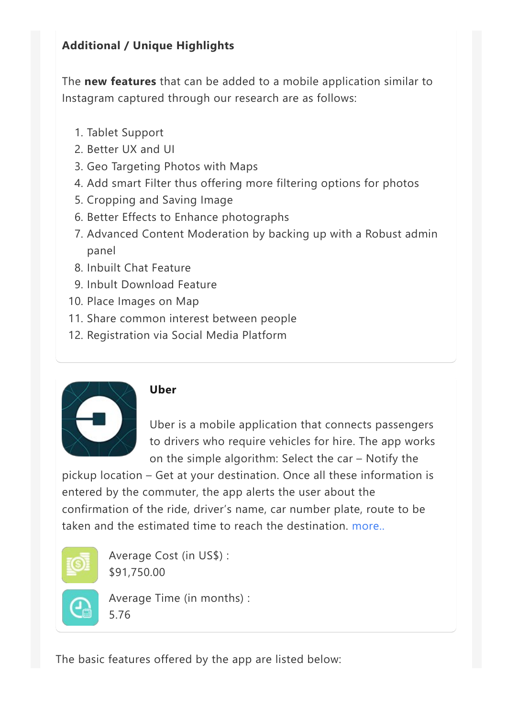The new features that can be added to a mobile application similar to Instagram captured through our research are as follows:

- 1. Tablet Support
- 2. Better UX and UI
- 3. Geo Targeting Photos with Maps
- 4. Add smart Filter thus offering more filtering options for photos
- 5. Cropping and Saving Image
- 6. Better Effects to Enhance photographs
- 7. Advanced Content Moderation by backing up with a Robust admin panel
- 8. Inbuilt Chat Feature
- 9. Inbult Download Feature
- 10. Place Images on Map
- 11. Share common interest between people
- 12. Registration via Social Media Platform

<span id="page-21-0"></span>

#### Uber

Uber is a mobile application that connects passengers to drivers who require vehicles for hire. The app works on the simple algorithm: Select the car – Notify the

pickup location – Get at your destination. Once all these information is entered by the commuter, the app alerts the user about the confirmation of the ride, driver's name, car number plate, route to be taken and the estimated time to reach the destination. more..



Average Cost (in US\$) : \$91,750.00

Average Time (in months) : 5.76

The basic features offered by the app are listed below: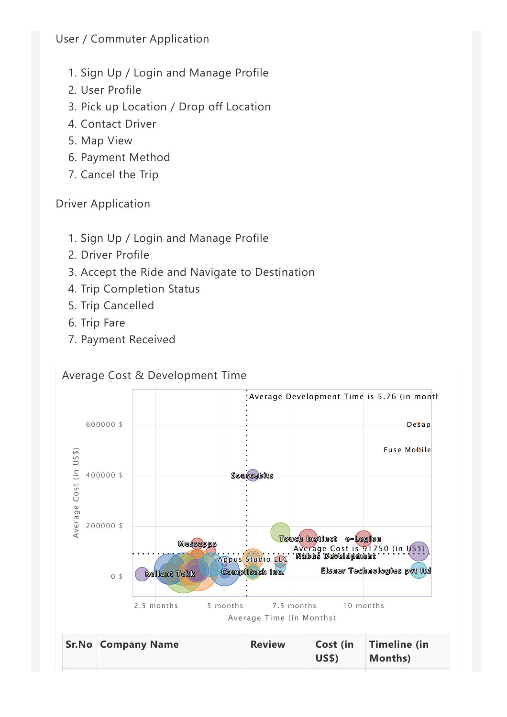### User / Commuter Application

- 1. Sign Up / Login and Manage Profile
- 2. User Profile
- 3. Pick up Location / Drop off Location
- 4. Contact Driver
- 5. Map View
- 6. Payment Method
- 7. Cancel the Trip

### Driver Application

- 1. Sign Up / Login and Manage Profile
- 2. Driver Profile
- 3. Accept the Ride and Navigate to Destination
- 4. Trip Completion Status
- 5. Trip Cancelled
- 6. Trip Fare
- 7. Payment Received

#### Average Development Time is 5.76 (in month 600000 \$ Desap Fuse Mobile Average Cost (in US\$) Average Cost (in US\$) 400000 \$ **Sourcebits** 200000 \$ Touch Instinct e-Legion Messapps Average Cost is 91750 (in US\$) Nabus Development Appus Studio LLC Complitech Inc. Elsner Technologies pvt ltd Reliant Tekk  $0<sup>5</sup>$ 2.5 months 5 months 7.5 months 10 months Average Time (in Months) Sr.No Company Name Review Cost (in **Timeline (in**  $US$$ **Months**)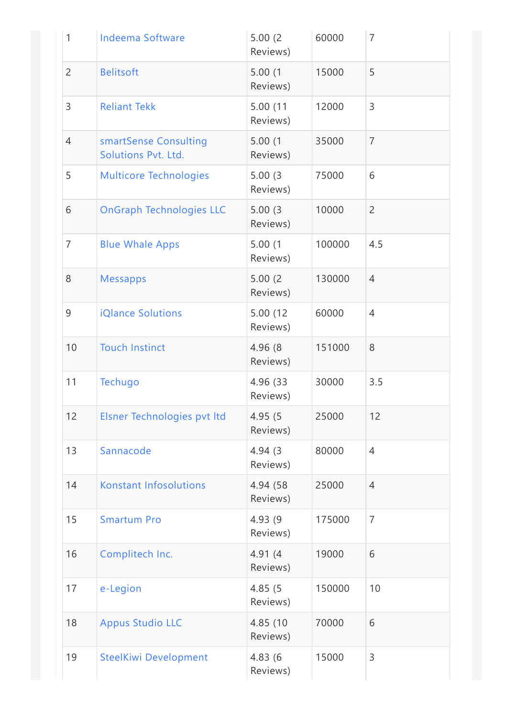| 1              | <b>Indeema Software</b>                      | 5.00(2)<br>Reviews)   | 60000  | $\overline{7}$ |
|----------------|----------------------------------------------|-----------------------|--------|----------------|
| $\overline{2}$ | <b>Belitsoft</b>                             | 5.00(1)<br>Reviews)   | 15000  | 5              |
| 3              | <b>Reliant Tekk</b>                          | 5.00(11)<br>Reviews)  | 12000  | 3              |
| $\overline{4}$ | smartSense Consulting<br>Solutions Pvt. Ltd. | 5.00(1)<br>Reviews)   | 35000  | $\overline{7}$ |
| 5              | <b>Multicore Technologies</b>                | 5.00(3)<br>Reviews)   | 75000  | 6              |
| 6              | <b>OnGraph Technologies LLC</b>              | 5.00(3)<br>Reviews)   | 10000  | $\overline{2}$ |
| $\overline{7}$ | <b>Blue Whale Apps</b>                       | 5.00(1)<br>Reviews)   | 100000 | 4.5            |
| 8              | Messapps                                     | 5.00(2)<br>Reviews)   | 130000 | $\overline{4}$ |
| 9              | <b>iQlance Solutions</b>                     | 5.00 (12<br>Reviews)  | 60000  | 4              |
| 10             | <b>Touch Instinct</b>                        | 4.96 (8<br>Reviews)   | 151000 | 8              |
| 11             | Techugo                                      | 4.96 (33<br>Reviews)  | 30000  | 3.5            |
| 12             | Elsner Technologies pvt Itd                  | 4.95 (5<br>Reviews)   | 25000  | 12             |
| 13             | Sannacode                                    | 4.94 (3<br>Reviews)   | 80000  | $\overline{4}$ |
| 14             | <b>Konstant Infosolutions</b>                | 4.94 (58<br>Reviews)  | 25000  | $\overline{4}$ |
| 15             | <b>Smartum Pro</b>                           | 4.93 (9<br>Reviews)   | 175000 | $\overline{7}$ |
| 16             | Complitech Inc.                              | 4.91 (4<br>Reviews)   | 19000  | 6              |
| 17             | e-Legion                                     | 4.85 (5<br>Reviews)   | 150000 | 10             |
| 18             | <b>Appus Studio LLC</b>                      | 4.85 (10)<br>Reviews) | 70000  | 6              |
| 19             | <b>SteelKiwi Development</b>                 | 4.83 (6<br>Reviews)   | 15000  | 3              |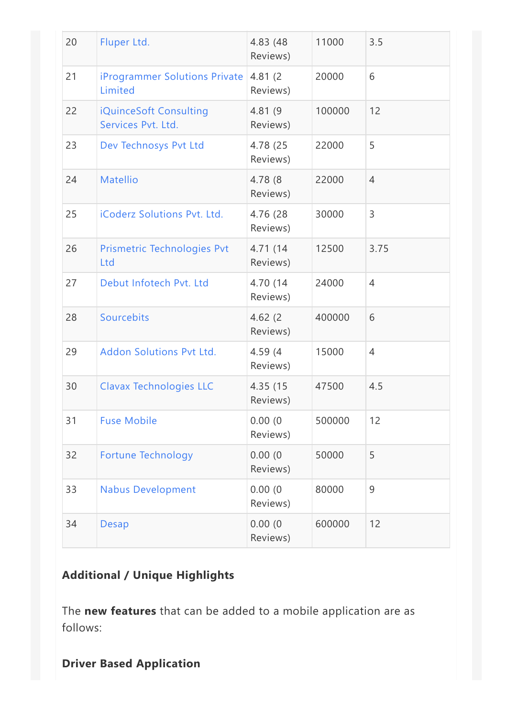| 20 | Fluper Ltd.                                  | 4.83 (48)<br>Reviews) | 11000  | 3.5            |
|----|----------------------------------------------|-----------------------|--------|----------------|
| 21 | iProgrammer Solutions Private<br>Limited     | 4.81(2)<br>Reviews)   | 20000  | 6              |
| 22 | iQuinceSoft Consulting<br>Services Pvt. Ltd. | 4.81 (9<br>Reviews)   | 100000 | 12             |
| 23 | Dev Technosys Pvt Ltd                        | 4.78 (25)<br>Reviews) | 22000  | 5              |
| 24 | <b>Matellio</b>                              | 4.78 (8)<br>Reviews)  | 22000  | $\overline{4}$ |
| 25 | <i>iCoderz Solutions Pyt. Ltd.</i>           | 4.76 (28)<br>Reviews) | 30000  | 3              |
| 26 | Prismetric Technologies Pvt<br>Ltd           | 4.71 (14<br>Reviews)  | 12500  | 3.75           |
| 27 | Debut Infotech Pvt. Ltd                      | 4.70 (14<br>Reviews)  | 24000  | $\overline{4}$ |
| 28 | Sourcebits                                   | 4.62(2)<br>Reviews)   | 400000 | 6              |
| 29 | <b>Addon Solutions Pvt Ltd.</b>              | 4.59 (4<br>Reviews)   | 15000  | $\overline{4}$ |
| 30 | <b>Clavax Technologies LLC</b>               | 4.35 (15<br>Reviews)  | 47500  | 4.5            |
| 31 | <b>Fuse Mobile</b>                           | 0.00(0)<br>Reviews)   | 500000 | 12             |
| 32 | <b>Fortune Technology</b>                    | 0.00(0)<br>Reviews)   | 50000  | 5              |
| 33 | <b>Nabus Development</b>                     | 0.00(0)<br>Reviews)   | 80000  | 9              |
| 34 | <b>Desap</b>                                 | 0.00(0)<br>Reviews)   | 600000 | 12             |

The new features that can be added to a mobile application are as follows:

Driver Based Application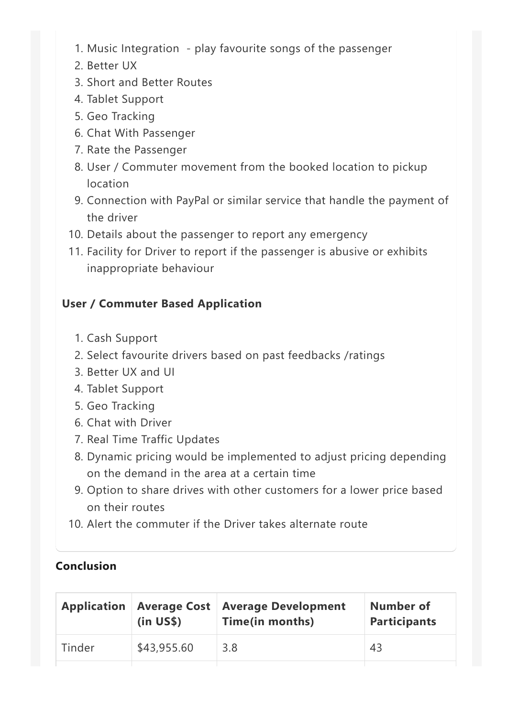- 1. Music Integration ‐ play favourite songs of the passenger
- 2. Better UX
- 3. Short and Better Routes
- 4. Tablet Support
- 5. Geo Tracking
- 6. Chat With Passenger
- 7. Rate the Passenger
- 8. User / Commuter movement from the booked location to pickup location
- 9. Connection with PayPal or similar service that handle the payment of the driver
- 10. Details about the passenger to report any emergency
- 11. Facility for Driver to report if the passenger is abusive or exhibits inappropriate behaviour

### User / Commuter Based Application

- 1. Cash Support
- 2. Select favourite drivers based on past feedbacks /ratings
- 3. Better UX and UI
- 4. Tablet Support
- 5. Geo Tracking
- 6. Chat with Driver
- 7. Real Time Traffic Updates
- 8. Dynamic pricing would be implemented to adjust pricing depending on the demand in the area at a certain time
- 9. Option to share drives with other customers for a lower price based on their routes
- 10. Alert the commuter if the Driver takes alternate route

### Conclusion

| <b>Application</b> | <b>Average Cost</b> | <b>Average Development</b> | <b>Number of</b>    |
|--------------------|---------------------|----------------------------|---------------------|
|                    | $(in US\)$          | <b>Time(in months)</b>     | <b>Participants</b> |
| Tinder             | \$43,955.60         | 3.8                        | 43                  |